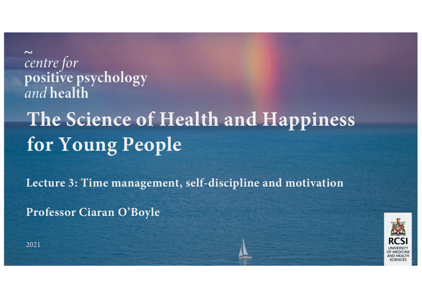## centre for positive psychology *and* health

# **The Science of Health and Happiness for Young People**

**Lecture 3: Time management, self-discipline and motivation**

**Professor Ciaran O'Boyle**



2021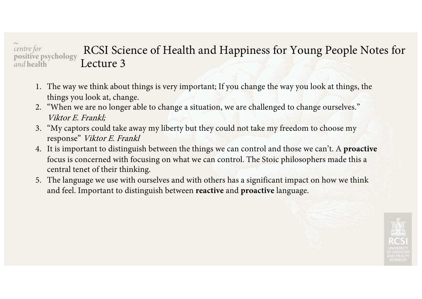#### centre for RCSI Science of Health and Happiness for Young People Notes for positive psychology Lecture 3 and health

- 1. The way we think about things is very important; If you change the way you look at things, the things you look at, change.
- 2. "When we are no longer able to change a situation, we are challenged to change ourselves." Viktor E. Frankl;
- 3. "My captors could take away my liberty but they could not take my freedom to choose my response" Viktor E. Frankl
- 4. It is important to distinguish between the things we can control and those we can't. A **proactive**  focus is concerned with focusing on what we can control. The Stoic philosophers made this a central tenet of their thinking.
- 5. The language we use with ourselves and with others has a significant impact on how we think and feel. Important to distinguish between **reactive** and **proactive** language.

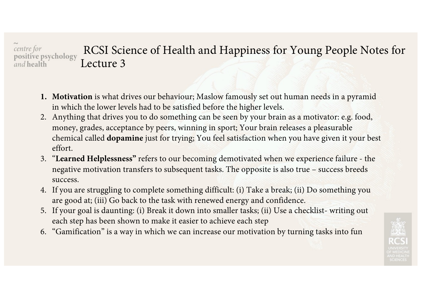#### centre for RCSI Science of Health and Happiness for Young People Notes for positive psychology Lecture 3 and health

- **1. Motivation** is what drives our behaviour; Maslow famously set out human needs in a pyramid in which the lower levels had to be satisfied before the higher levels.
- 2. Anything that drives you to do something can be seen by your brain as a motivator: e.g. food, money, grades, acceptance by peers, winning in sport; Your brain releases a pleasurable chemical called **dopamine** just for trying; You feel satisfaction when you have given it your best effort.
- 3. "**Learned Helplessness"** refers to our becoming demotivated when we experience failure the negative motivation transfers to subsequent tasks. The opposite is also true – success breeds success.
- 4. If you are struggling to complete something difficult: (i) Take a break; (ii) Do something you are good at; (iii) Go back to the task with renewed energy and confidence.
- 5. If your goal is daunting: (i) Break it down into smaller tasks; (ii) Use a checklist- writing out each step has been shown to make it easier to achieve each step
- 6. "Gamification" is a way in which we can increase our motivation by turning tasks into fun

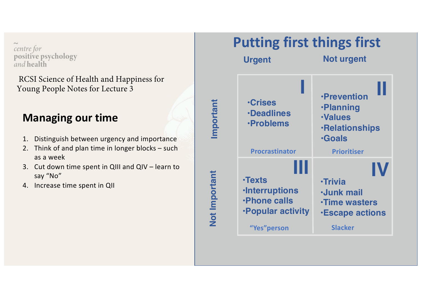centre for positive psychology and health

RCSI Science of Health and Happiness for Young People Notes for Lecture 3

### **Managing our time**

- 1. Distinguish between urgency and importance
- 2. Think of and plan time in longer blocks such as a week
- 3. Cut down time spent in QIII and QIV learn to say "No"
- 4. Increase time spent in QII